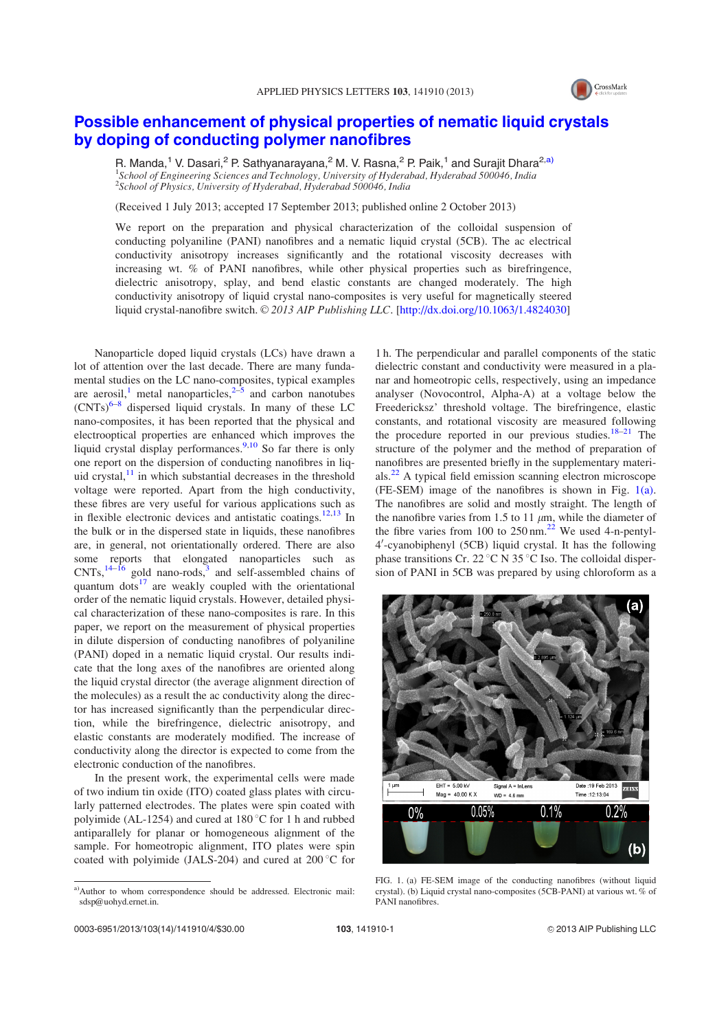

## Possible enhancement of physical properties of nematic liquid crystals by doping of conducting polymer nanofibres

R. Manda,<sup>1</sup> V. Dasari,<sup>2</sup> P. Sathyanarayana,<sup>2</sup> M. V. Rasna,<sup>2</sup> P. Paik,<sup>1</sup> and Surajit Dhara<sup>2,a)</sup> <sup>1</sup>School of Engineering Sciences and Technology, University of Hyderabad, Hyderabad 500046, India <sup>2</sup>School of Physics, University of Hyderabad, Hyderabad 500046, India

(Received 1 July 2013; accepted 17 September 2013; published online 2 October 2013)

We report on the preparation and physical characterization of the colloidal suspension of conducting polyaniline (PANI) nanofibres and a nematic liquid crystal (5CB). The ac electrical conductivity anisotropy increases significantly and the rotational viscosity decreases with increasing wt. % of PANI nanofibres, while other physical properties such as birefringence, dielectric anisotropy, splay, and bend elastic constants are changed moderately. The high conductivity anisotropy of liquid crystal nano-composites is very useful for magnetically steered liquid crystal-nanofibre switch.  $\odot$  2013 AIP Publishing LLC. [http://dx.doi.org/10.1063/1.4824030]

Nanoparticle doped liquid crystals (LCs) have drawn a lot of attention over the last decade. There are many fundamental studies on the LC nano-composites, typical examples are aerosil,<sup>1</sup> metal nanoparticles,  $2\overline{3}$  and carbon nanotubes  $(CNTs)^{6-8}$  dispersed liquid crystals. In many of these LC nano-composites, it has been reported that the physical and electrooptical properties are enhanced which improves the liquid crystal display performances.<sup>9,10</sup> So far there is only one report on the dispersion of conducting nanofibres in liquid crystal, $11$  in which substantial decreases in the threshold voltage were reported. Apart from the high conductivity, these fibres are very useful for various applications such as in flexible electronic devices and antistatic coatings.<sup>12,13</sup> In the bulk or in the dispersed state in liquids, these nanofibres are, in general, not orientationally ordered. There are also some reports that elongated nanoparticles such as  $CNTs$ ,  $^{14-\hat{16}}$  gold nano-rods,<sup>3</sup> and self-assembled chains of quantum dots $17$  are weakly coupled with the orientational order of the nematic liquid crystals. However, detailed physical characterization of these nano-composites is rare. In this paper, we report on the measurement of physical properties in dilute dispersion of conducting nanofibres of polyaniline (PANI) doped in a nematic liquid crystal. Our results indicate that the long axes of the nanofibres are oriented along the liquid crystal director (the average alignment direction of the molecules) as a result the ac conductivity along the director has increased significantly than the perpendicular direction, while the birefringence, dielectric anisotropy, and elastic constants are moderately modified. The increase of conductivity along the director is expected to come from the electronic conduction of the nanofibres.

In the present work, the experimental cells were made of two indium tin oxide (ITO) coated glass plates with circularly patterned electrodes. The plates were spin coated with polyimide (AL-1254) and cured at  $180^{\circ}$ C for 1 h and rubbed antiparallely for planar or homogeneous alignment of the sample. For homeotropic alignment, ITO plates were spin coated with polyimide (JALS-204) and cured at  $200^{\circ}$ C for

1 h. The perpendicular and parallel components of the static dielectric constant and conductivity were measured in a planar and homeotropic cells, respectively, using an impedance analyser (Novocontrol, Alpha-A) at a voltage below the Freedericksz' threshold voltage. The birefringence, elastic constants, and rotational viscosity are measured following the procedure reported in our previous studies.<sup>18–21</sup> The structure of the polymer and the method of preparation of nanofibres are presented briefly in the supplementary materials.<sup>22</sup> A typical field emission scanning electron microscope (FE-SEM) image of the nanofibres is shown in Fig. 1(a). The nanofibres are solid and mostly straight. The length of the nanofibre varies from 1.5 to 11  $\mu$ m, while the diameter of the fibre varies from 100 to  $250 \text{ nm}$ .<sup>22</sup> We used 4-n-pentyl-4'-cyanobiphenyl (5CB) liquid crystal. It has the following phase transitions Cr. 22  $\mathrm{C}$  N 35  $\mathrm{C}$  Iso. The colloidal dispersion of PANI in 5CB was prepared by using chloroform as a



FIG. 1. (a) FE-SEM image of the conducting nanofibres (without liquid crystal). (b) Liquid crystal nano-composites (5CB-PANI) at various wt. % of PANI nanofibres.

a)Author to whom correspondence should be addressed. Electronic mail: sdsp@uohyd.ernet.in.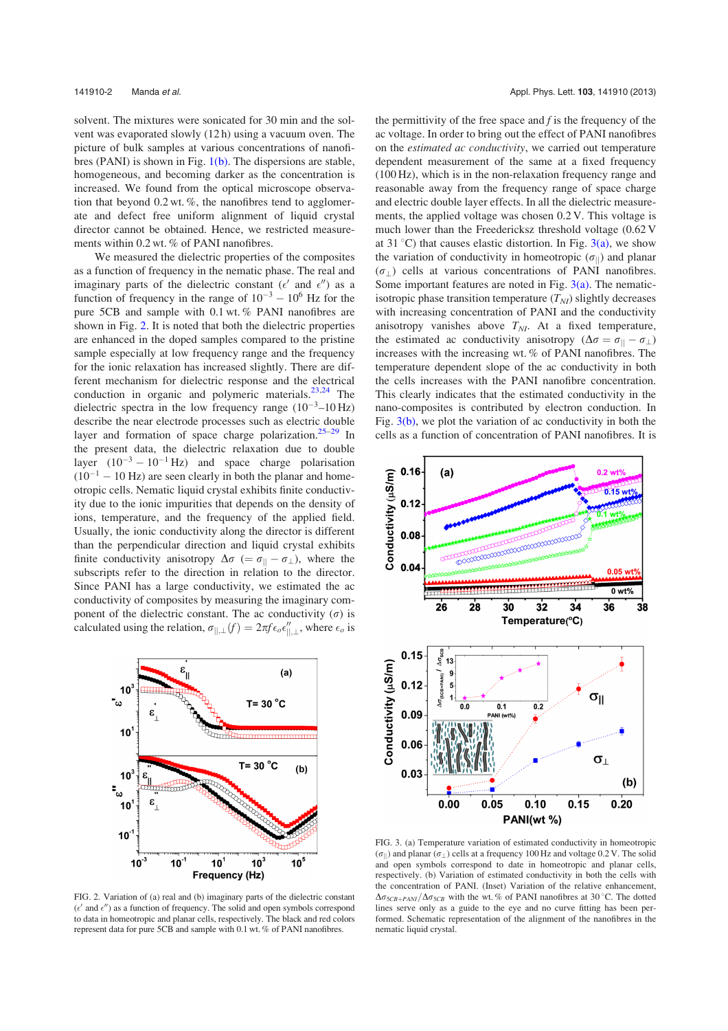solvent. The mixtures were sonicated for 30 min and the solvent was evaporated slowly (12 h) using a vacuum oven. The picture of bulk samples at various concentrations of nanofibres (PANI) is shown in Fig.  $1(b)$ . The dispersions are stable, homogeneous, and becoming darker as the concentration is increased. We found from the optical microscope observation that beyond  $0.2$  wt. %, the nanofibres tend to agglomerate and defect free uniform alignment of liquid crystal director cannot be obtained. Hence, we restricted measurements within 0.2 wt. % of PANI nanofibres.

We measured the dielectric properties of the composites as a function of frequency in the nematic phase. The real and imaginary parts of the dielectric constant ( $\epsilon'$  and  $\epsilon''$ ) as a function of frequency in the range of  $10^{-3} - 10^{6}$  Hz for the pure 5CB and sample with 0.1 wt. % PANI nanofibres are shown in Fig. 2. It is noted that both the dielectric properties are enhanced in the doped samples compared to the pristine sample especially at low frequency range and the frequency for the ionic relaxation has increased slightly. There are different mechanism for dielectric response and the electrical conduction in organic and polymeric materials.<sup>23,24</sup> The dielectric spectra in the low frequency range  $(10^{-3} - 10 \text{ Hz})$ describe the near electrode processes such as electric double layer and formation of space charge polarization.<sup>25–29</sup> In the present data, the dielectric relaxation due to double layer  $(10^{-3} - 10^{-1}$  Hz) and space charge polarisation  $(10^{-1} - 10$  Hz) are seen clearly in both the planar and homeotropic cells. Nematic liquid crystal exhibits finite conductivity due to the ionic impurities that depends on the density of ions, temperature, and the frequency of the applied field. Usually, the ionic conductivity along the director is different than the perpendicular direction and liquid crystal exhibits finite conductivity anisotropy  $\Delta \sigma$  (=  $\sigma_{\parallel}$  -  $\sigma_{\perp}$ ), where the subscripts refer to the direction in relation to the director. Since PANI has a large conductivity, we estimated the ac conductivity of composites by measuring the imaginary component of the dielectric constant. The ac conductivity  $(\sigma)$  is calculated using the relation,  $\sigma_{||,\perp}(f) = 2\pi f \epsilon_o \epsilon_{||,\perp}''$ , where  $\epsilon_o$  is



FIG. 2. Variation of (a) real and (b) imaginary parts of the dielectric constant  $(\epsilon'$  and  $\epsilon'')$  as a function of frequency. The solid and open symbols correspond to data in homeotropic and planar cells, respectively. The black and red colors represent data for pure 5CB and sample with 0.1 wt. % of PANI nanofibres.

the permittivity of the free space and  $f$  is the frequency of the ac voltage. In order to bring out the effect of PANI nanofibres on the estimated ac conductivity, we carried out temperature dependent measurement of the same at a fixed frequency (100 Hz), which is in the non-relaxation frequency range and reasonable away from the frequency range of space charge and electric double layer effects. In all the dielectric measurements, the applied voltage was chosen 0.2 V. This voltage is much lower than the Freedericksz threshold voltage (0.62 V at 31 °C) that causes elastic distortion. In Fig.  $3(a)$ , we show the variation of conductivity in homeotropic  $(\sigma_{\parallel})$  and planar  $(\sigma)$  cells at various concentrations of PANI nanofibres. Some important features are noted in Fig.  $3(a)$ . The nematicisotropic phase transition temperature  $(T_{NI})$  slightly decreases with increasing concentration of PANI and the conductivity anisotropy vanishes above  $T_{NI}$ . At a fixed temperature, the estimated ac conductivity anisotropy  $(\Delta \sigma = \sigma_{\parallel} - \sigma_{\perp})$ increases with the increasing wt. % of PANI nanofibres. The temperature dependent slope of the ac conductivity in both the cells increases with the PANI nanofibre concentration. This clearly indicates that the estimated conductivity in the nano-composites is contributed by electron conduction. In Fig.  $3(b)$ , we plot the variation of ac conductivity in both the cells as a function of concentration of PANI nanofibres. It is



FIG. 3. (a) Temperature variation of estimated conductivity in homeotropic  $(\sigma_{\parallel})$  and planar  $(\sigma_{\perp})$  cells at a frequency 100 Hz and voltage 0.2 V. The solid and open symbols correspond to date in homeotropic and planar cells, respectively. (b) Variation of estimated conductivity in both the cells with the concentration of PANI. (Inset) Variation of the relative enhancement,  $\Delta \sigma_{5CB+PANI}/\Delta \sigma_{5CB}$  with the wt. % of PANI nanofibres at 30 °C. The dotted lines serve only as a guide to the eye and no curve fitting has been performed. Schematic representation of the alignment of the nanofibres in the nematic liquid crystal.